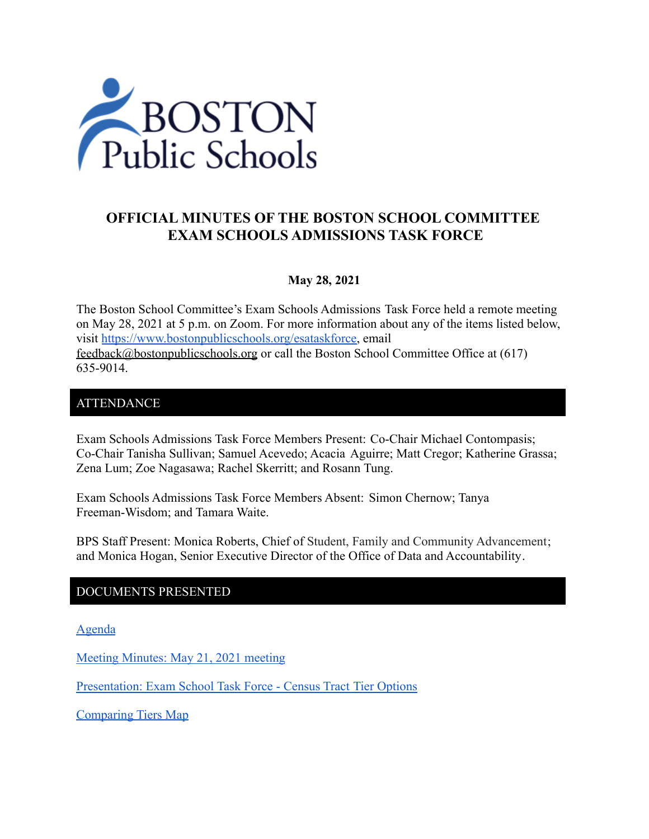

# **OFFICIAL MINUTES OF THE BOSTON SCHOOL COMMITTEE EXAM SCHOOLS ADMISSIONS TASK FORCE**

#### **May 28, 2021**

The Boston School Committee's Exam Schools Admissions Task Force held a remote meeting on May 28, 2021 at 5 p.m. on Zoom. For more information about any of the items listed below, visit [https://www.bostonpublicschools.org/esataskforce,](https://www.bostonpublicschools.org/esataskforce) email [feedback@bostonpublicschools.org](mailto:feedback@bostonpublicschools.org) or call the Boston School Committee Office at (617) 635-9014.

### **ATTENDANCE**

Exam Schools Admissions Task Force Members Present: Co-Chair Michael Contompasis; Co-Chair Tanisha Sullivan; Samuel Acevedo; Acacia Aguirre; Matt Cregor; Katherine Grassa; Zena Lum; Zoe Nagasawa; Rachel Skerritt; and Rosann Tung.

Exam Schools Admissions Task Force Members Absent: Simon Chernow; Tanya Freeman-Wisdom; and Tamara Waite.

BPS Staff Present: Monica Roberts, Chief of Student, Family and Community Advancement; and Monica Hogan, Senior Executive Director of the Office of Data and Accountability.

#### DOCUMENTS PRESENTED

[Agenda](https://www.boston.gov/public-notices/15103611)

[Meeting Minutes: May 21, 2021 meeting](https://www.bostonpublicschools.org/cms/lib/MA01906464/Centricity/Domain/2931/Minutes%205%2021%2021%20Exam%20School%20Admission%20TF%20Meeting.pdf)

[Presentation: Exam School Task Force - Census Tract](https://www.bostonpublicschools.org/cms/lib/MA01906464/Centricity/Domain/2931/Exam%20School%20Task%20Force%20%20Census%20Tract%20Tier%20Options%20%205.28.21.pdf) Tier Options

[Comparing Tiers Map](https://public.tableau.com/app/profile/office.of.data.and.accountability/viz/shared/YP4ZK5SQM)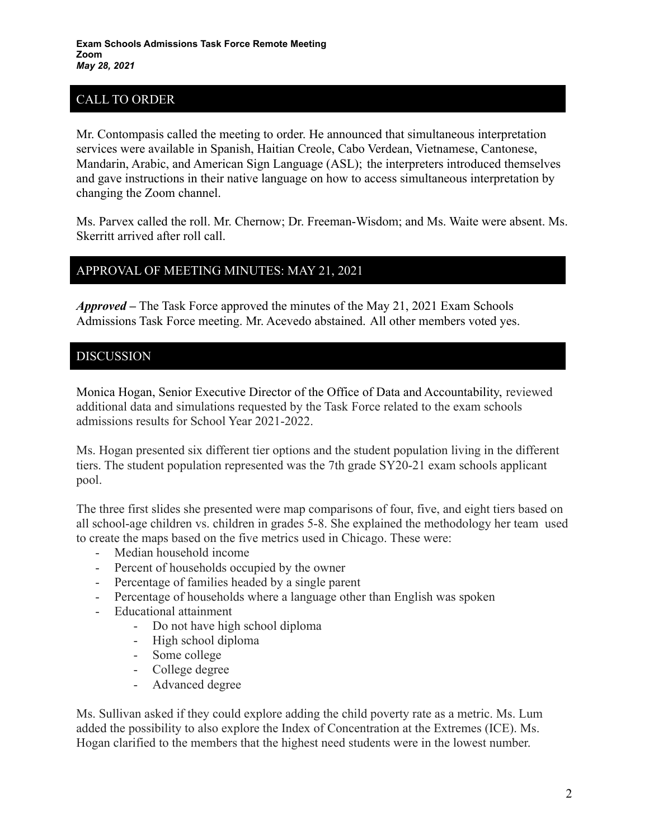# CALL TO ORDER

Mr. Contompasis called the meeting to order. He announced that simultaneous interpretation services were available in Spanish, Haitian Creole, Cabo Verdean, Vietnamese, Cantonese, Mandarin, Arabic, and American Sign Language (ASL); the interpreters introduced themselves and gave instructions in their native language on how to access simultaneous interpretation by changing the Zoom channel.

Ms. Parvex called the roll. Mr. Chernow; Dr. Freeman-Wisdom; and Ms. Waite were absent. Ms. Skerritt arrived after roll call.

## APPROVAL OF MEETING MINUTES: MAY 21, 2021

*Approved –* The Task Force approved the minutes of the May 21, 2021 Exam Schools Admissions Task Force meeting. Mr. Acevedo abstained. All other members voted yes.

## DISCUSSION

Monica Hogan, Senior Executive Director of the Office of Data and Accountability, reviewed additional data and simulations requested by the Task Force related to the exam schools admissions results for School Year 2021-2022.

Ms. Hogan presented six different tier options and the student population living in the different tiers. The student population represented was the 7th grade SY20-21 exam schools applicant pool.

The three first slides she presented were map comparisons of four, five, and eight tiers based on all school-age children vs. children in grades 5-8. She explained the methodology her team used to create the maps based on the five metrics used in Chicago. These were:

- Median household income
- Percent of households occupied by the owner
- Percentage of families headed by a single parent
- Percentage of households where a language other than English was spoken
- Educational attainment
	- Do not have high school diploma
		- High school diploma
		- Some college
		- College degree
		- Advanced degree

Ms. Sullivan asked if they could explore adding the child poverty rate as a metric. Ms. Lum added the possibility to also explore the Index of Concentration at the Extremes (ICE). Ms. Hogan clarified to the members that the highest need students were in the lowest number.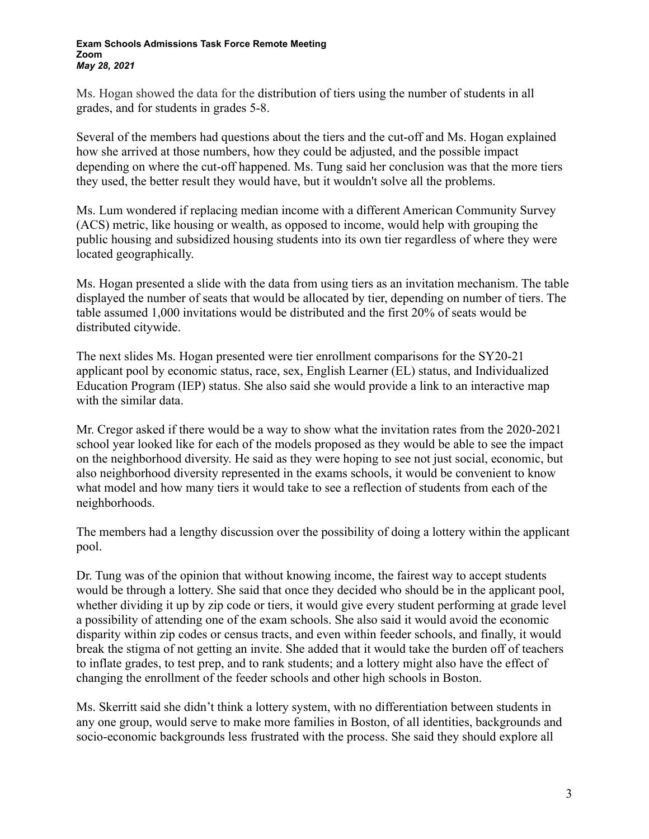#### **Exam Schools Admissions Task Force Remote Meeting Zoom** *May 28, 2021*

Ms. Hogan showed the data for the distribution of tiers using the number of students in all grades, and for students in grades 5-8.

Several of the members had questions about the tiers and the cut-off and Ms. Hogan explained how she arrived at those numbers, how they could be adjusted, and the possible impact depending on where the cut-off happened. Ms. Tung said her conclusion was that the more tiers they used, the better result they would have, but it wouldn't solve all the problems.

Ms. Lum wondered if replacing median income with a different American Community Survey (ACS) metric, like housing or wealth, as opposed to income, would help with grouping the public housing and subsidized housing students into its own tier regardless of where they were located geographically.

Ms. Hogan presented a slide with the data from using tiers as an invitation mechanism. The table displayed the number of seats that would be allocated by tier, depending on number of tiers. The table assumed 1,000 invitations would be distributed and the first 20% of seats would be distributed citywide.

The next slides Ms. Hogan presented were tier enrollment comparisons for the SY20-21 applicant pool by economic status, race, sex, English Learner (EL) status, and Individualized Education Program (IEP) status. She also said she would provide a link to an interactive map with the similar data.

Mr. Cregor asked if there would be a way to show what the invitation rates from the 2020-2021 school year looked like for each of the models proposed as they would be able to see the impact on the neighborhood diversity. He said as they were hoping to see not just social, economic, but also neighborhood diversity represented in the exams schools, it would be convenient to know what model and how many tiers it would take to see a reflection of students from each of the neighborhoods.

The members had a lengthy discussion over the possibility of doing a lottery within the applicant pool.

Dr. Tung was of the opinion that without knowing income, the fairest way to accept students would be through a lottery. She said that once they decided who should be in the applicant pool, whether dividing it up by zip code or tiers, it would give every student performing at grade level a possibility of attending one of the exam schools. She also said it would avoid the economic disparity within zip codes or census tracts, and even within feeder schools, and finally, it would break the stigma of not getting an invite. She added that it would take the burden off of teachers to inflate grades, to test prep, and to rank students; and a lottery might also have the effect of changing the enrollment of the feeder schools and other high schools in Boston.

Ms. Skerritt said she didn't think a lottery system, with no differentiation between students in any one group, would serve to make more families in Boston, of all identities, backgrounds and socio-economic backgrounds less frustrated with the process. She said they should explore all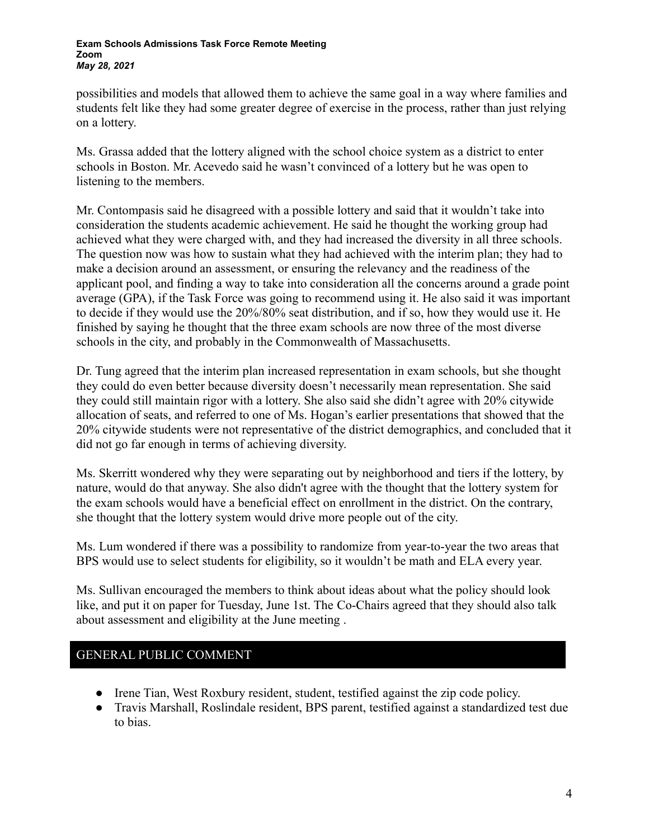#### **Exam Schools Admissions Task Force Remote Meeting Zoom** *May 28, 2021*

possibilities and models that allowed them to achieve the same goal in a way where families and students felt like they had some greater degree of exercise in the process, rather than just relying on a lottery.

Ms. Grassa added that the lottery aligned with the school choice system as a district to enter schools in Boston. Mr. Acevedo said he wasn't convinced of a lottery but he was open to listening to the members.

Mr. Contompasis said he disagreed with a possible lottery and said that it wouldn't take into consideration the students academic achievement. He said he thought the working group had achieved what they were charged with, and they had increased the diversity in all three schools. The question now was how to sustain what they had achieved with the interim plan; they had to make a decision around an assessment, or ensuring the relevancy and the readiness of the applicant pool, and finding a way to take into consideration all the concerns around a grade point average (GPA), if the Task Force was going to recommend using it. He also said it was important to decide if they would use the 20%/80% seat distribution, and if so, how they would use it. He finished by saying he thought that the three exam schools are now three of the most diverse schools in the city, and probably in the Commonwealth of Massachusetts.

Dr. Tung agreed that the interim plan increased representation in exam schools, but she thought they could do even better because diversity doesn't necessarily mean representation. She said they could still maintain rigor with a lottery. She also said she didn't agree with 20% citywide allocation of seats, and referred to one of Ms. Hogan's earlier presentations that showed that the 20% citywide students were not representative of the district demographics, and concluded that it did not go far enough in terms of achieving diversity.

Ms. Skerritt wondered why they were separating out by neighborhood and tiers if the lottery, by nature, would do that anyway. She also didn't agree with the thought that the lottery system for the exam schools would have a beneficial effect on enrollment in the district. On the contrary, she thought that the lottery system would drive more people out of the city.

Ms. Lum wondered if there was a possibility to randomize from year-to-year the two areas that BPS would use to select students for eligibility, so it wouldn't be math and ELA every year.

Ms. Sullivan encouraged the members to think about ideas about what the policy should look like, and put it on paper for Tuesday, June 1st. The Co-Chairs agreed that they should also talk about assessment and eligibility at the June meeting .

## GENERAL PUBLIC COMMENT

- Irene Tian, West Roxbury resident, student, testified against the zip code policy.
- Travis Marshall, Roslindale resident, BPS parent, testified against a standardized test due to bias.